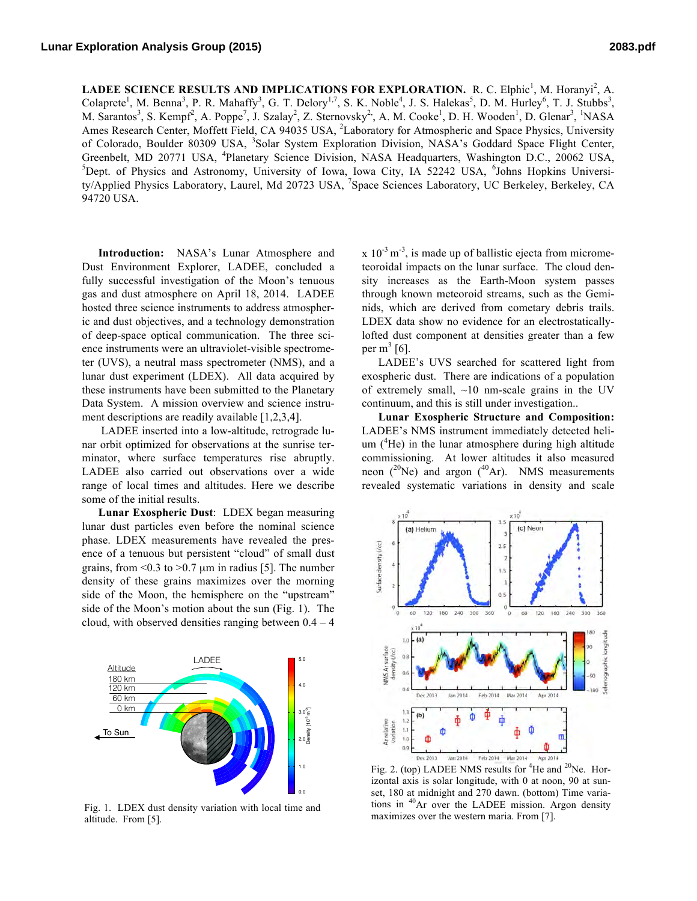**LADEE SCIENCE RESULTS AND IMPLICATIONS FOR EXPLORATION.** R. C. Elphic<sup>1</sup>, M. Horanyi<sup>2</sup>, A. Colaprete<sup>1</sup>, M. Benna<sup>3</sup>, P. R. Mahaffy<sup>3</sup>, G. T. Delory<sup>1,7</sup>, S. K. Noble<sup>4</sup>, J. S. Halekas<sup>5</sup>, D. M. Hurley<sup>6</sup>, T. J. Stubbs<sup>3</sup>, M. Sarantos<sup>3</sup>, S. Kempf<sup>2</sup>, A. Poppe<sup>7</sup>, J. Szalay<sup>2</sup>, Z. Sternovsky<sup>2</sup>, A. M. Cooke<sup>1</sup>, D. H. Wooden<sup>1</sup>, D. Glenar<sup>3</sup>, <sup>1</sup>NASA Ames Research Center, Moffett Field, CA 94035 USA, <sup>2</sup>Laboratory for Atmospheric and Space Physics, University of Colorado, Boulder 80309 USA, <sup>3</sup>Solar System Exploration Division, NASA's Goddard Space Flight Center, Greenbelt, MD 20771 USA, <sup>4</sup>Planetary Science Division, NASA Headquarters, Washington D.C., 20062 USA, <sup>5</sup>Dept. of Physics and Astronomy, University of Iowa, Iowa City, IA 52242 USA, <sup>6</sup>Johns Hopkins University/Applied Physics Laboratory, Laurel, Md 20723 USA, <sup>7</sup>Space Sciences Laboratory, UC Berkeley, Berkeley, CA 94720 USA.

 $D_1 = 1 \cdot 1003$ 

Density [10-3 m-3]

Density [10<sup>-3</sup> m<sup>-3</sup>]

**Introduction:** NASA's Lunar Atmosphere and Dust Environment Explorer, LADEE, concluded a fully successful investigation of the Moon's tenuous gas and dust atmosphere on April 18, 2014. LADEE hosted three science instruments to address atmospheric and dust objectives, and a technology demonstration of deep-space optical communication. The three science instruments were an ultraviolet-visible spectrometer (UVS), a neutral mass spectrometer (NMS), and a lunar dust experiment (LDEX). All data acquired by these instruments have been submitted to the Planetary Data System. A mission overview and science instrument descriptions are readily available [1,2,3,4].

LADEE inserted into a low-altitude, retrograde lunar orbit optimized for observations at the sunrise terminator, where surface temperatures rise abruptly. LADEE also carried out observations over a wide range of local times and altitudes. Here we describe some of the initial results.

**Lunar Exospheric Dust**: LDEX began measuring lunar dust particles even before the nominal science phase. LDEX measurements have revealed the presence of a tenuous but persistent "cloud" of small dust grains, from  $\leq 0.3$  to  $\geq 0.7$  µm in radius [5]. The number density of these grains maximizes over the morning side of the Moon, the hemisphere on the "upstream" side of the Moon's motion about the sun (Fig. 1). The cloud, with observed densities ranging between  $0.4 - 4$ 



Fig. 1. LDEX dust density variation with local time and altitude. From [5].

 $x 10^{-3}$  m<sup>-3</sup>, is made up of ballistic ejecta from micrometeoroidal impacts on the lunar surface. The cloud density increases as the Earth-Moon system passes through known meteoroid streams, such as the Geminids, which are derived from cometary debris trails. LDEX data show no evidence for an electrostaticallylofted dust component at densities greater than a few per  $m<sup>3</sup>$  [6].

LADEE's UVS searched for scattered light from exospheric dust. There are indications of a population of extremely small,  $\sim 10$  nm-scale grains in the UV continuum, and this is still under investigation..

**Lunar Exospheric Structure and Composition:** LADEE's NMS instrument immediately detected helium  $(^{4}$ He) in the lunar atmosphere during high altitude commissioning. At lower altitudes it also measured neon  $(^{20}Ne)$  and argon  $(^{40}Ar)$ . NMS measurements revealed systematic variations in density and scale



00.00 tions in 0<sup>640</sup>Ar over 1460 LADEE 00 mission<sup>24:</sup> Argon density ol set, 180 at midnight and 270 dawn. (bottom) Time variaizontal axis is solar longitude, with  $\frac{1}{2}$  at noon, 90 at sunmaximizes over the western maria. From [7].